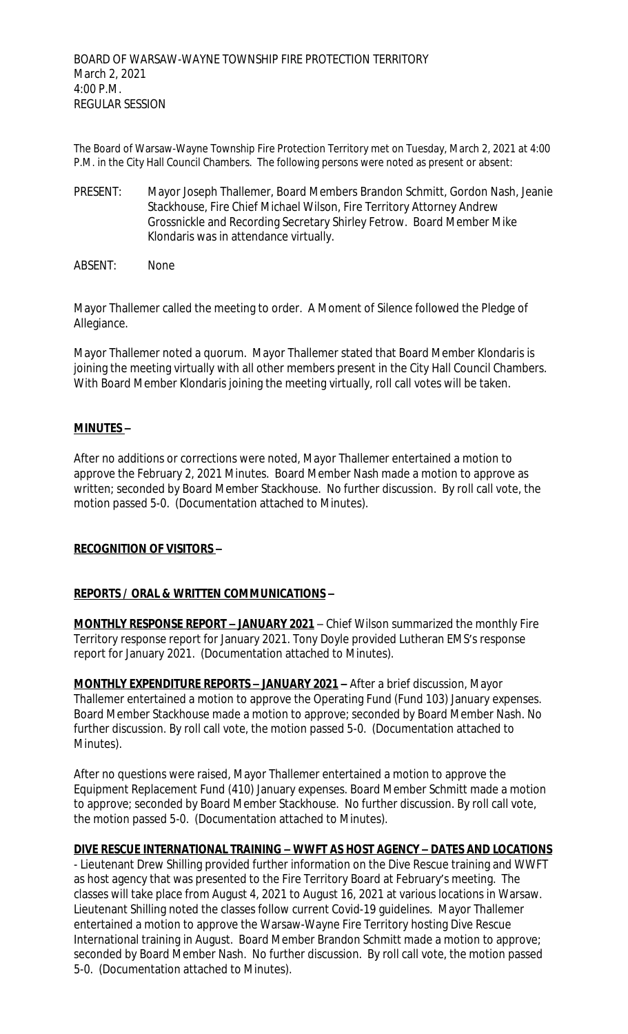The Board of Warsaw-Wayne Township Fire Protection Territory met on Tuesday, March 2, 2021 at 4:00 P.M. in the City Hall Council Chambers. The following persons were noted as present or absent:

- PRESENT: Mayor Joseph Thallemer, Board Members Brandon Schmitt, Gordon Nash, Jeanie Stackhouse, Fire Chief Michael Wilson, Fire Territory Attorney Andrew Grossnickle and Recording Secretary Shirley Fetrow. Board Member Mike Klondaris was in attendance virtually.
- ABSENT: None

Mayor Thallemer called the meeting to order. A Moment of Silence followed the Pledge of Allegiance.

Mayor Thallemer noted a quorum. Mayor Thallemer stated that Board Member Klondaris is joining the meeting virtually with all other members present in the City Hall Council Chambers. With Board Member Klondaris joining the meeting virtually, roll call votes will be taken.

# **MINUTES –**

After no additions or corrections were noted, Mayor Thallemer entertained a motion to approve the February 2, 2021 Minutes. Board Member Nash made a motion to approve as written; seconded by Board Member Stackhouse. No further discussion. By roll call vote, the motion passed 5-0. (Documentation attached to Minutes).

## **RECOGNITION OF VISITORS –**

## **REPORTS / ORAL & WRITTEN COMMUNICATIONS –**

**MONTHLY RESPONSE REPORT - JANUARY 2021** – Chief Wilson summarized the monthly Fire Territory response report for January 2021. Tony Doyle provided Lutheran EMS's response report for January 2021. (Documentation attached to Minutes).

**MONTHLY EXPENDITURE REPORTS – JANUARY 2021 –** After a brief discussion, Mayor Thallemer entertained a motion to approve the Operating Fund (Fund 103) January expenses. Board Member Stackhouse made a motion to approve; seconded by Board Member Nash. No further discussion. By roll call vote, the motion passed 5-0. (Documentation attached to Minutes).

After no questions were raised, Mayor Thallemer entertained a motion to approve the Equipment Replacement Fund (410) January expenses. Board Member Schmitt made a motion to approve; seconded by Board Member Stackhouse. No further discussion. By roll call vote, the motion passed 5-0. (Documentation attached to Minutes).

## **DIVE RESCUE INTERNATIONAL TRAINING – WWFT AS HOST AGENCY – DATES AND LOCATIONS**

- Lieutenant Drew Shilling provided further information on the Dive Rescue training and WWFT as host agency that was presented to the Fire Territory Board at February's meeting. The classes will take place from August 4, 2021 to August 16, 2021 at various locations in Warsaw. Lieutenant Shilling noted the classes follow current Covid-19 guidelines. Mayor Thallemer entertained a motion to approve the Warsaw-Wayne Fire Territory hosting Dive Rescue International training in August. Board Member Brandon Schmitt made a motion to approve; seconded by Board Member Nash. No further discussion. By roll call vote, the motion passed 5-0. (Documentation attached to Minutes).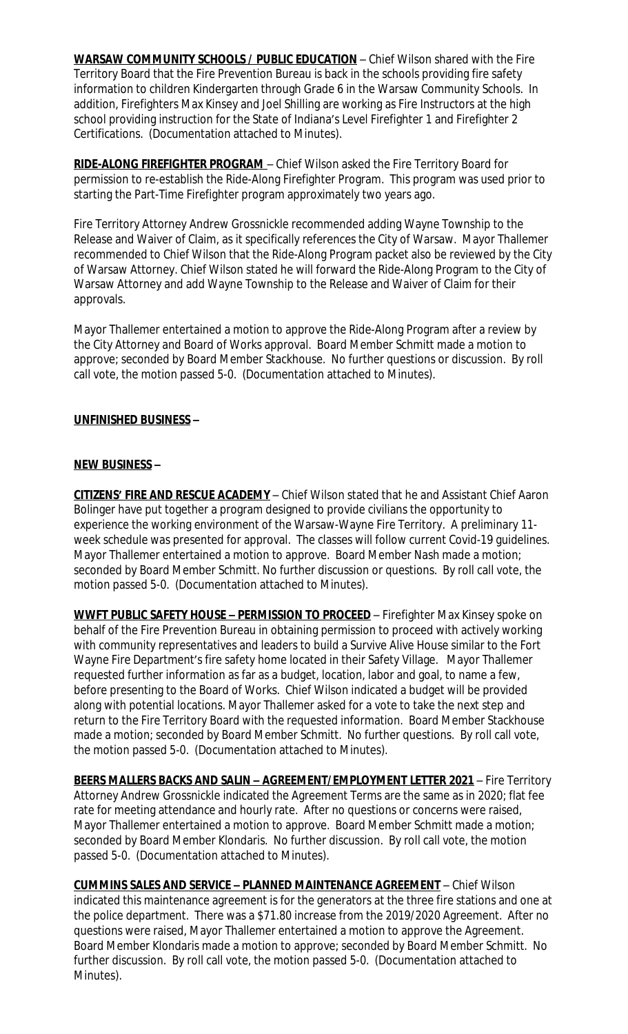**WARSAW COMMUNITY SCHOOLS / PUBLIC EDUCATION** – Chief Wilson shared with the Fire Territory Board that the Fire Prevention Bureau is back in the schools providing fire safety information to children Kindergarten through Grade 6 in the Warsaw Community Schools. In addition, Firefighters Max Kinsey and Joel Shilling are working as Fire Instructors at the high school providing instruction for the State of Indiana's Level Firefighter 1 and Firefighter 2 Certifications. (Documentation attached to Minutes).

**RIDE-ALONG FIREFIGHTER PROGRAM** – Chief Wilson asked the Fire Territory Board for permission to re-establish the Ride-Along Firefighter Program. This program was used prior to starting the Part-Time Firefighter program approximately two years ago.

Fire Territory Attorney Andrew Grossnickle recommended adding Wayne Township to the Release and Waiver of Claim, as it specifically references the City of Warsaw. Mayor Thallemer recommended to Chief Wilson that the Ride-Along Program packet also be reviewed by the City of Warsaw Attorney. Chief Wilson stated he will forward the Ride-Along Program to the City of Warsaw Attorney and add Wayne Township to the Release and Waiver of Claim for their approvals.

Mayor Thallemer entertained a motion to approve the Ride-Along Program after a review by the City Attorney and Board of Works approval. Board Member Schmitt made a motion to approve; seconded by Board Member Stackhouse. No further questions or discussion. By roll call vote, the motion passed 5-0. (Documentation attached to Minutes).

# **UNFINISHED BUSINESS –**

# **NEW BUSINESS –**

**CITIZENS' FIRE AND RESCUE ACADEMY** – Chief Wilson stated that he and Assistant Chief Aaron Bolinger have put together a program designed to provide civilians the opportunity to experience the working environment of the Warsaw-Wayne Fire Territory. A preliminary 11 week schedule was presented for approval. The classes will follow current Covid-19 guidelines. Mayor Thallemer entertained a motion to approve. Board Member Nash made a motion; seconded by Board Member Schmitt. No further discussion or questions. By roll call vote, the motion passed 5-0. (Documentation attached to Minutes).

**WWFT PUBLIC SAFETY HOUSE – PERMISSION TO PROCEED** – Firefighter Max Kinsey spoke on behalf of the Fire Prevention Bureau in obtaining permission to proceed with actively working with community representatives and leaders to build a Survive Alive House similar to the Fort Wayne Fire Department's fire safety home located in their Safety Village. Mayor Thallemer requested further information as far as a budget, location, labor and goal, to name a few, before presenting to the Board of Works. Chief Wilson indicated a budget will be provided along with potential locations. Mayor Thallemer asked for a vote to take the next step and return to the Fire Territory Board with the requested information. Board Member Stackhouse made a motion; seconded by Board Member Schmitt. No further questions. By roll call vote, the motion passed 5-0. (Documentation attached to Minutes).

**BEERS MALLERS BACKS AND SALIN - AGREEMENT/EMPLOYMENT LETTER 2021 - Fire Territory** Attorney Andrew Grossnickle indicated the Agreement Terms are the same as in 2020; flat fee rate for meeting attendance and hourly rate. After no questions or concerns were raised, Mayor Thallemer entertained a motion to approve. Board Member Schmitt made a motion; seconded by Board Member Klondaris. No further discussion. By roll call vote, the motion passed 5-0. (Documentation attached to Minutes).

**CUMMINS SALES AND SERVICE – PLANNED MAINTENANCE AGREEMENT** – Chief Wilson indicated this maintenance agreement is for the generators at the three fire stations and one at the police department. There was a \$71.80 increase from the 2019/2020 Agreement. After no questions were raised, Mayor Thallemer entertained a motion to approve the Agreement. Board Member Klondaris made a motion to approve; seconded by Board Member Schmitt. No further discussion. By roll call vote, the motion passed 5-0. (Documentation attached to Minutes).